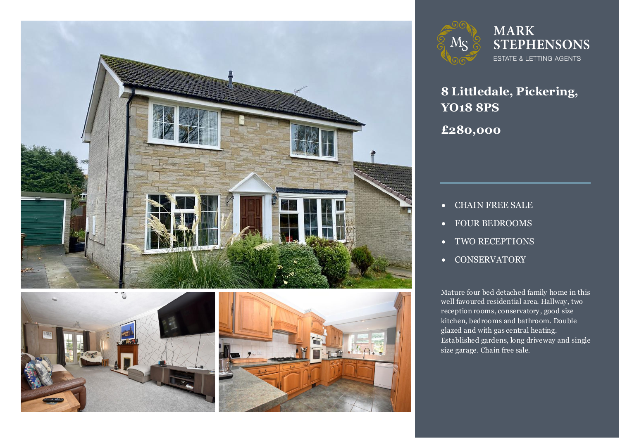





**MARK STEPHENSONS** ESTATE & LETTING AGENTS

**8 Littledale, Pickering, YO18 8PS £280,000**

- CHAIN FREE SALE
- FOUR BEDROOMS
- TWO RECEPTIONS
- **•** CONSERVATORY

Mature four bed detached family home in this<br>well favoured residential area. Hallway, two reception rooms, conservatory, good size<br>kitchen. bedrooms and bathroom. Double Mature four bed detached family home in this kitchen, bedrooms and bathroom. Double glazed and with gas central heating. Established gardens, long driveway and single size garage. Chain free sale.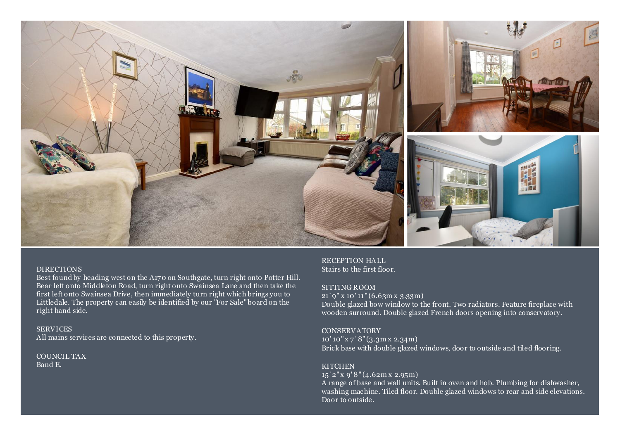

### DIRECTIONS

Best found by heading west on the A170 on Southgate, turn right onto Potter Hill. Bear left onto Middleton Road, turn right onto Swainsea Lane and then take the first left onto Swainsea Drive, then immediately turn right which brings you to Littledale. The property can easily be identified by our "For Sale" board on the right hand side.

SERVICES All mains services are connected to this property.

COUNCIL TAX Band E.

RECEPTION HALL Stairs to the first floor.

# SITTING ROOM

21' 9" x 10' 11" (6.63m x 3.33m) Double glazed bow window to the front. Two radiators. Feature fireplace with wooden surround. Double glazed French doors opening into conservatory.

# **CONSERVATORY**

10' 10" x 7 ' 8" (3.3m x 2.34m) Brick base with double glazed windows, door to outside and tiled flooring.

## **KITCHEN**

15' 2" x 9' 8" (4.62m x 2.95m)

A range of base and wall units. Built in oven and hob. Plumbing for dishwasher, washing machine. Tiled floor. Double glazed windows to rear and side elevations. Door to outside.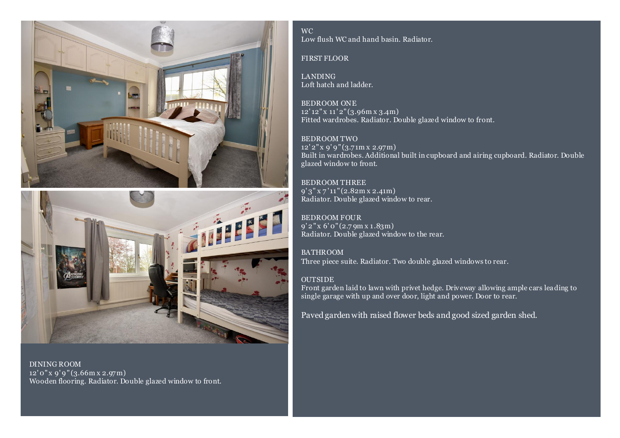



DINING ROOM 12' 0" x 9' 9 " (3.66m x 2.97m) Wooden flooring. Radiator. Double glazed window to front.

WC Low flush WC and hand basin. Radiator.

## FIRST FLOOR

LANDING Loft hatch and ladder.

BEDROOM ONE 12' 12" x 11' 2" (3.96m x 3.4m) Fitted wardrobes. Radiator. Double glazed window to front.

BEDROOM TWO 12' 2" x 9' 9 " (3.71m x 2.97m) Built in wardrobes. Additional built in cupboard and airing cupboard. Radiator. Double glazed window to front.

BEDROOM THREE 9' 3" x 7 ' 11" (2.82m x 2.41m) Radiator. Double glazed window to rear.

BEDROOM FOUR 9' 2 " x 6' 0" (2.7 9m x 1.83m) Radiator. Double glazed window to the rear.

BATHROOM Three piece suite. Radiator. Two double glazed windows to rear.

# **OUTSIDE**

Front garden laid to lawn with privet hedge. Driveway allowing ample cars leading to single garage with up and over door, light and power. Door to rear.

Paved garden with raised flower beds and good sized garden shed.